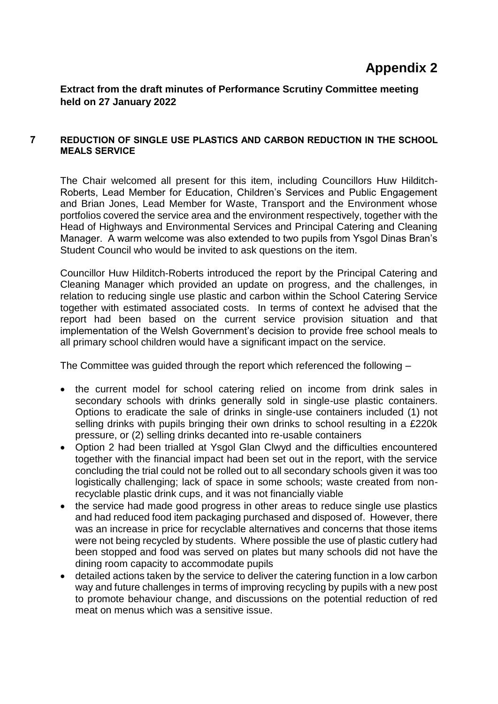## **Appendix 2**

**Extract from the draft minutes of Performance Scrutiny Committee meeting held on 27 January 2022**

## **7 REDUCTION OF SINGLE USE PLASTICS AND CARBON REDUCTION IN THE SCHOOL MEALS SERVICE**

The Chair welcomed all present for this item, including Councillors Huw Hilditch-Roberts, Lead Member for Education, Children's Services and Public Engagement and Brian Jones, Lead Member for Waste, Transport and the Environment whose portfolios covered the service area and the environment respectively, together with the Head of Highways and Environmental Services and Principal Catering and Cleaning Manager. A warm welcome was also extended to two pupils from Ysgol Dinas Bran's Student Council who would be invited to ask questions on the item.

Councillor Huw Hilditch-Roberts introduced the report by the Principal Catering and Cleaning Manager which provided an update on progress, and the challenges, in relation to reducing single use plastic and carbon within the School Catering Service together with estimated associated costs. In terms of context he advised that the report had been based on the current service provision situation and that implementation of the Welsh Government's decision to provide free school meals to all primary school children would have a significant impact on the service.

The Committee was guided through the report which referenced the following –

- the current model for school catering relied on income from drink sales in secondary schools with drinks generally sold in single-use plastic containers. Options to eradicate the sale of drinks in single-use containers included (1) not selling drinks with pupils bringing their own drinks to school resulting in a £220k pressure, or (2) selling drinks decanted into re-usable containers
- Option 2 had been trialled at Ysgol Glan Clwyd and the difficulties encountered together with the financial impact had been set out in the report, with the service concluding the trial could not be rolled out to all secondary schools given it was too logistically challenging; lack of space in some schools; waste created from nonrecyclable plastic drink cups, and it was not financially viable
- the service had made good progress in other areas to reduce single use plastics and had reduced food item packaging purchased and disposed of. However, there was an increase in price for recyclable alternatives and concerns that those items were not being recycled by students. Where possible the use of plastic cutlery had been stopped and food was served on plates but many schools did not have the dining room capacity to accommodate pupils
- detailed actions taken by the service to deliver the catering function in a low carbon way and future challenges in terms of improving recycling by pupils with a new post to promote behaviour change, and discussions on the potential reduction of red meat on menus which was a sensitive issue.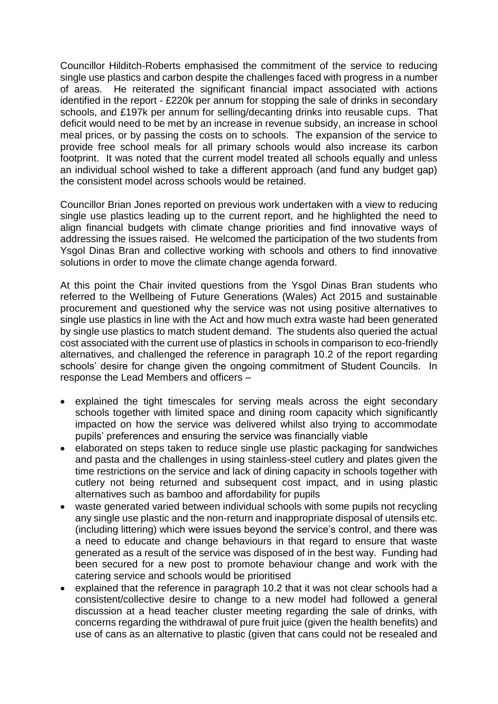Councillor Hilditch-Roberts emphasised the commitment of the service to reducing single use plastics and carbon despite the challenges faced with progress in a number of areas. He reiterated the significant financial impact associated with actions identified in the report - £220k per annum for stopping the sale of drinks in secondary schools, and £197k per annum for selling/decanting drinks into reusable cups. That deficit would need to be met by an increase in revenue subsidy, an increase in school meal prices, or by passing the costs on to schools. The expansion of the service to provide free school meals for all primary schools would also increase its carbon footprint. It was noted that the current model treated all schools equally and unless an individual school wished to take a different approach (and fund any budget gap) the consistent model across schools would be retained.

Councillor Brian Jones reported on previous work undertaken with a view to reducing single use plastics leading up to the current report, and he highlighted the need to align financial budgets with climate change priorities and find innovative ways of addressing the issues raised. He welcomed the participation of the two students from Ysgol Dinas Bran and collective working with schools and others to find innovative solutions in order to move the climate change agenda forward.

At this point the Chair invited questions from the Ysgol Dinas Bran students who referred to the Wellbeing of Future Generations (Wales) Act 2015 and sustainable procurement and questioned why the service was not using positive alternatives to single use plastics in line with the Act and how much extra waste had been generated by single use plastics to match student demand. The students also queried the actual cost associated with the current use of plastics in schools in comparison to eco-friendly alternatives, and challenged the reference in paragraph 10.2 of the report regarding schools' desire for change given the ongoing commitment of Student Councils. In response the Lead Members and officers –

- explained the tight timescales for serving meals across the eight secondary schools together with limited space and dining room capacity which significantly impacted on how the service was delivered whilst also trying to accommodate pupils' preferences and ensuring the service was financially viable
- elaborated on steps taken to reduce single use plastic packaging for sandwiches and pasta and the challenges in using stainless-steel cutlery and plates given the time restrictions on the service and lack of dining capacity in schools together with cutlery not being returned and subsequent cost impact, and in using plastic alternatives such as bamboo and affordability for pupils
- waste generated varied between individual schools with some pupils not recycling any single use plastic and the non-return and inappropriate disposal of utensils etc. (including littering) which were issues beyond the service's control, and there was a need to educate and change behaviours in that regard to ensure that waste generated as a result of the service was disposed of in the best way. Funding had been secured for a new post to promote behaviour change and work with the catering service and schools would be prioritised
- explained that the reference in paragraph 10.2 that it was not clear schools had a consistent/collective desire to change to a new model had followed a general discussion at a head teacher cluster meeting regarding the sale of drinks, with concerns regarding the withdrawal of pure fruit juice (given the health benefits) and use of cans as an alternative to plastic (given that cans could not be resealed and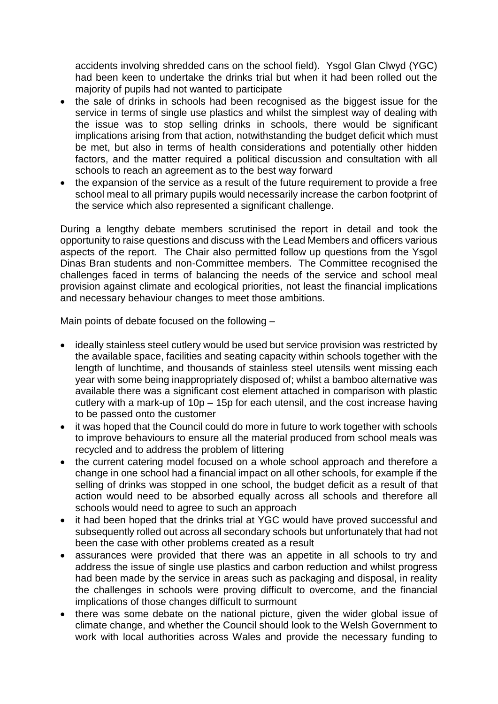accidents involving shredded cans on the school field). Ysgol Glan Clwyd (YGC) had been keen to undertake the drinks trial but when it had been rolled out the majority of pupils had not wanted to participate

- the sale of drinks in schools had been recognised as the biggest issue for the service in terms of single use plastics and whilst the simplest way of dealing with the issue was to stop selling drinks in schools, there would be significant implications arising from that action, notwithstanding the budget deficit which must be met, but also in terms of health considerations and potentially other hidden factors, and the matter required a political discussion and consultation with all schools to reach an agreement as to the best way forward
- the expansion of the service as a result of the future requirement to provide a free school meal to all primary pupils would necessarily increase the carbon footprint of the service which also represented a significant challenge.

During a lengthy debate members scrutinised the report in detail and took the opportunity to raise questions and discuss with the Lead Members and officers various aspects of the report. The Chair also permitted follow up questions from the Ysgol Dinas Bran students and non-Committee members. The Committee recognised the challenges faced in terms of balancing the needs of the service and school meal provision against climate and ecological priorities, not least the financial implications and necessary behaviour changes to meet those ambitions.

Main points of debate focused on the following –

- ideally stainless steel cutlery would be used but service provision was restricted by the available space, facilities and seating capacity within schools together with the length of lunchtime, and thousands of stainless steel utensils went missing each year with some being inappropriately disposed of; whilst a bamboo alternative was available there was a significant cost element attached in comparison with plastic cutlery with a mark-up of 10p – 15p for each utensil, and the cost increase having to be passed onto the customer
- it was hoped that the Council could do more in future to work together with schools to improve behaviours to ensure all the material produced from school meals was recycled and to address the problem of littering
- the current catering model focused on a whole school approach and therefore a change in one school had a financial impact on all other schools, for example if the selling of drinks was stopped in one school, the budget deficit as a result of that action would need to be absorbed equally across all schools and therefore all schools would need to agree to such an approach
- it had been hoped that the drinks trial at YGC would have proved successful and subsequently rolled out across all secondary schools but unfortunately that had not been the case with other problems created as a result
- assurances were provided that there was an appetite in all schools to try and address the issue of single use plastics and carbon reduction and whilst progress had been made by the service in areas such as packaging and disposal, in reality the challenges in schools were proving difficult to overcome, and the financial implications of those changes difficult to surmount
- there was some debate on the national picture, given the wider global issue of climate change, and whether the Council should look to the Welsh Government to work with local authorities across Wales and provide the necessary funding to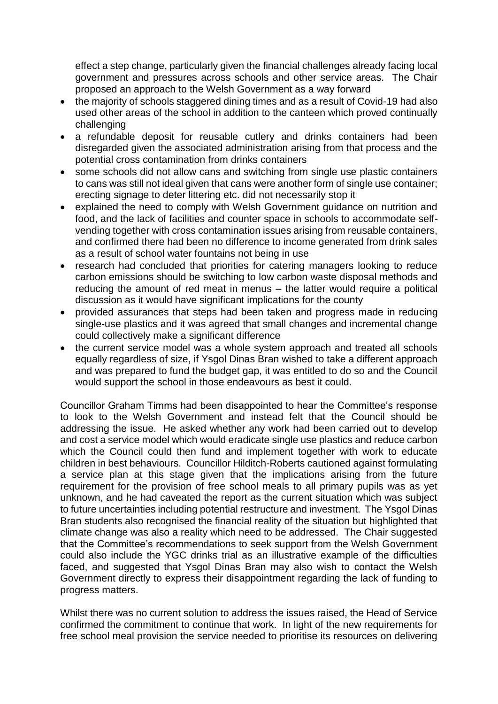effect a step change, particularly given the financial challenges already facing local government and pressures across schools and other service areas. The Chair proposed an approach to the Welsh Government as a way forward

- the majority of schools staggered dining times and as a result of Covid-19 had also used other areas of the school in addition to the canteen which proved continually challenging
- a refundable deposit for reusable cutlery and drinks containers had been disregarded given the associated administration arising from that process and the potential cross contamination from drinks containers
- some schools did not allow cans and switching from single use plastic containers to cans was still not ideal given that cans were another form of single use container; erecting signage to deter littering etc. did not necessarily stop it
- explained the need to comply with Welsh Government guidance on nutrition and food, and the lack of facilities and counter space in schools to accommodate selfvending together with cross contamination issues arising from reusable containers, and confirmed there had been no difference to income generated from drink sales as a result of school water fountains not being in use
- research had concluded that priorities for catering managers looking to reduce carbon emissions should be switching to low carbon waste disposal methods and reducing the amount of red meat in menus – the latter would require a political discussion as it would have significant implications for the county
- provided assurances that steps had been taken and progress made in reducing single-use plastics and it was agreed that small changes and incremental change could collectively make a significant difference
- the current service model was a whole system approach and treated all schools equally regardless of size, if Ysgol Dinas Bran wished to take a different approach and was prepared to fund the budget gap, it was entitled to do so and the Council would support the school in those endeavours as best it could.

Councillor Graham Timms had been disappointed to hear the Committee's response to look to the Welsh Government and instead felt that the Council should be addressing the issue. He asked whether any work had been carried out to develop and cost a service model which would eradicate single use plastics and reduce carbon which the Council could then fund and implement together with work to educate children in best behaviours. Councillor Hilditch-Roberts cautioned against formulating a service plan at this stage given that the implications arising from the future requirement for the provision of free school meals to all primary pupils was as yet unknown, and he had caveated the report as the current situation which was subject to future uncertainties including potential restructure and investment. The Ysgol Dinas Bran students also recognised the financial reality of the situation but highlighted that climate change was also a reality which need to be addressed. The Chair suggested that the Committee's recommendations to seek support from the Welsh Government could also include the YGC drinks trial as an illustrative example of the difficulties faced, and suggested that Ysgol Dinas Bran may also wish to contact the Welsh Government directly to express their disappointment regarding the lack of funding to progress matters.

Whilst there was no current solution to address the issues raised, the Head of Service confirmed the commitment to continue that work. In light of the new requirements for free school meal provision the service needed to prioritise its resources on delivering